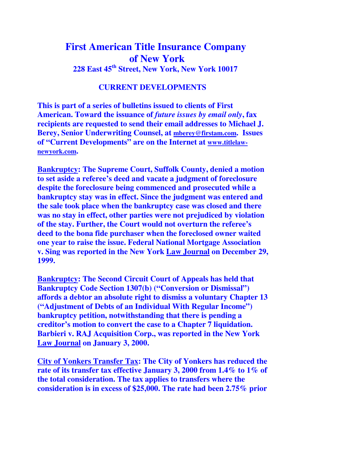## **First American Title Insurance Company of New York 228 East 45th Street, New York, New York 10017**

## **CURRENT DEVELOPMENTS**

**This is part of a series of bulletins issued to clients of First American. Toward the issuance of** *future issues by email only***, fax recipients are requested to send their email addresses to Michael J. Berey, Senior Underwriting Counsel, at mberey@firstam.com. Issues of "Current Developments" are on the Internet at www.titlelawnewyork.com.** 

**Bankruptcy: The Supreme Court, Suffolk County, denied a motion to set aside a referee's deed and vacate a judgment of foreclosure despite the foreclosure being commenced and prosecuted while a bankruptcy stay was in effect. Since the judgment was entered and the sale took place when the bankruptcy case was closed and there was no stay in effect, other parties were not prejudiced by violation of the stay. Further, the Court would not overturn the referee's deed to the bona fide purchaser when the foreclosed owner waited one year to raise the issue. Federal National Mortgage Association v. Sing was reported in the New York Law Journal on December 29, 1999.** 

**Bankruptcy: The Second Circuit Court of Appeals has held that Bankruptcy Code Section 1307(b) ("Conversion or Dismissal") affords a debtor an absolute right to dismiss a voluntary Chapter 13 ("Adjustment of Debts of an Individual With Regular Income") bankruptcy petition, notwithstanding that there is pending a creditor's motion to convert the case to a Chapter 7 liquidation. Barbieri v. RAJ Acquisition Corp., was reported in the New York Law Journal on January 3, 2000.** 

**City of Yonkers Transfer Tax: The City of Yonkers has reduced the rate of its transfer tax effective January 3, 2000 from 1.4% to 1% of the total consideration. The tax applies to transfers where the consideration is in excess of \$25,000. The rate had been 2.75% prior**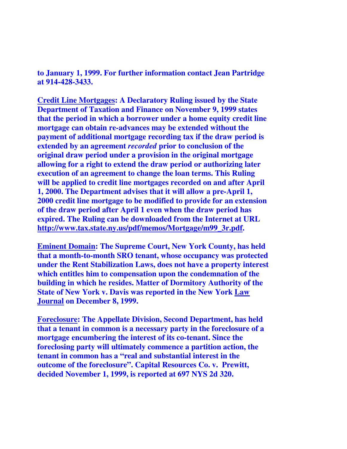**to January 1, 1999. For further information contact Jean Partridge at 914-428-3433.**

**Credit Line Mortgages: A Declaratory Ruling issued by the State Department of Taxation and Finance on November 9, 1999 states that the period in which a borrower under a home equity credit line mortgage can obtain re-advances may be extended without the payment of additional mortgage recording tax if the draw period is extended by an agreement** *recorded* **prior to conclusion of the original draw period under a provision in the original mortgage allowing for a right to extend the draw period or authorizing later execution of an agreement to change the loan terms. This Ruling will be applied to credit line mortgages recorded on and after April 1, 2000. The Department advises that it will allow a pre-April 1, 2000 credit line mortgage to be modified to provide for an extension of the draw period after April 1 even when the draw period has expired. The Ruling can be downloaded from the Internet at URL http://www.tax.state.ny.us/pdf/memos/Mortgage/m99\_3r.pdf.** 

**Eminent Domain: The Supreme Court, New York County, has held that a month-to-month SRO tenant, whose occupancy was protected under the Rent Stabilization Laws, does not have a property interest which entitles him to compensation upon the condemnation of the building in which he resides. Matter of Dormitory Authority of the State of New York v. Davis was reported in the New York Law Journal on December 8, 1999.** 

**Foreclosure: The Appellate Division, Second Department, has held that a tenant in common is a necessary party in the foreclosure of a mortgage encumbering the interest of its co-tenant. Since the foreclosing party will ultimately commence a partition action, the tenant in common has a "real and substantial interest in the outcome of the foreclosure". Capital Resources Co. v. Prewitt, decided November 1, 1999, is reported at 697 NYS 2d 320.**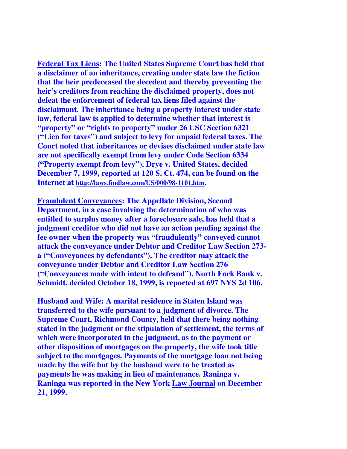**Federal Tax Liens: The United States Supreme Court has held that a disclaimer of an inheritance, creating under state law the fiction that the heir predeceased the decedent and thereby preventing the heir's creditors from reaching the disclaimed property, does not defeat the enforcement of federal tax liens filed against the disclaimant. The inheritance being a property interest under state law, federal law is applied to determine whether that interest is "property" or "rights to property" under 26 USC Section 6321 ("Lien for taxes") and subject to levy for unpaid federal taxes. The Court noted that inheritances or devises disclaimed under state law are not specifically exempt from levy under Code Section 6334 ("Property exempt from levy"). Drye v. United States, decided December 7, 1999, reported at 120 S. Ct. 474, can be found on the Internet at http://laws.findlaw.com/US/000/98-1101.htm.** 

**Fraudulent Conveyances: The Appellate Division, Second Department, in a case involving the determination of who was entitled to surplus money after a foreclosure sale, has held that a judgment creditor who did not have an action pending against the fee owner when the property was "fraudulently" conveyed cannot attack the conveyance under Debtor and Creditor Law Section 273 a ("Conveyances by defendants"). The creditor may attack the conveyance under Debtor and Creditor Law Section 276 ("Conveyances made with intent to defraud"). North Fork Bank v. Schmidt, decided October 18, 1999, is reported at 697 NYS 2d 106.** 

**Husband and Wife: A marital residence in Staten Island was transferred to the wife pursuant to a judgment of divorce. The Supreme Court, Richmond County, held that there being nothing stated in the judgment or the stipulation of settlement, the terms of which were incorporated in the judgment, as to the payment or other disposition of mortgages on the property, the wife took title subject to the mortgages. Payments of the mortgage loan not being made by the wife but by the husband were to be treated as payments he was making in lieu of maintenance. Raninga v. Raninga was reported in the New York Law Journal on December 21, 1999.**